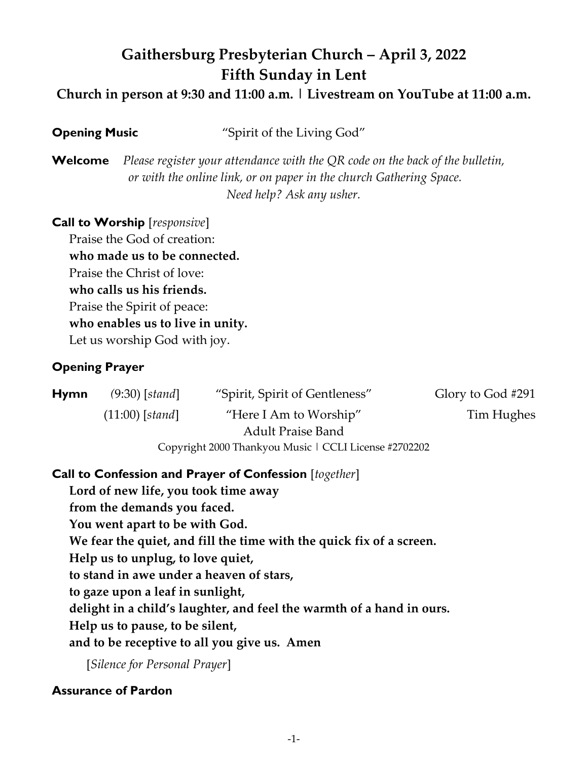# **Gaithersburg Presbyterian Church – April 3, 2022 Fifth Sunday in Lent**

**Church in person at 9:30 and 11:00 a.m. | Livestream on YouTube at 11:00 a.m.**

| <b>Opening Music</b> | "Spirit of the Living God" |
|----------------------|----------------------------|
|                      |                            |

**Welcome** *Please register your attendance with the QR code on the back of the bulletin, or with the online link, or on paper in the church Gathering Space. Need help? Ask any usher.*

## **Call to Worship** [*responsive*]

Praise the God of creation: **who made us to be connected.** Praise the Christ of love: **who calls us his friends.** Praise the Spirit of peace: **who enables us to live in unity.**  Let us worship God with joy.

# **Opening Prayer**

| <b>Hymn</b> | $(9:30)$ [stand]  | "Spirit, Spirit of Gentleness"                        | Glory to God #291 |
|-------------|-------------------|-------------------------------------------------------|-------------------|
|             | $(11:00)$ [stand] | "Here I Am to Worship"                                | Tim Hughes        |
|             |                   | <b>Adult Praise Band</b>                              |                   |
|             |                   | Copyright 2000 Thankyou Music   CCLI License #2702202 |                   |

# **Call to Confession and Prayer of Confession** [*together*]

**Lord of new life, you took time away from the demands you faced. You went apart to be with God. We fear the quiet, and fill the time with the quick fix of a screen. Help us to unplug, to love quiet, to stand in awe under a heaven of stars, to gaze upon a leaf in sunlight, delight in a child's laughter, and feel the warmth of a hand in ours. Help us to pause, to be silent, and to be receptive to all you give us. Amen**

[*Silence for Personal Prayer*]

# **Assurance of Pardon**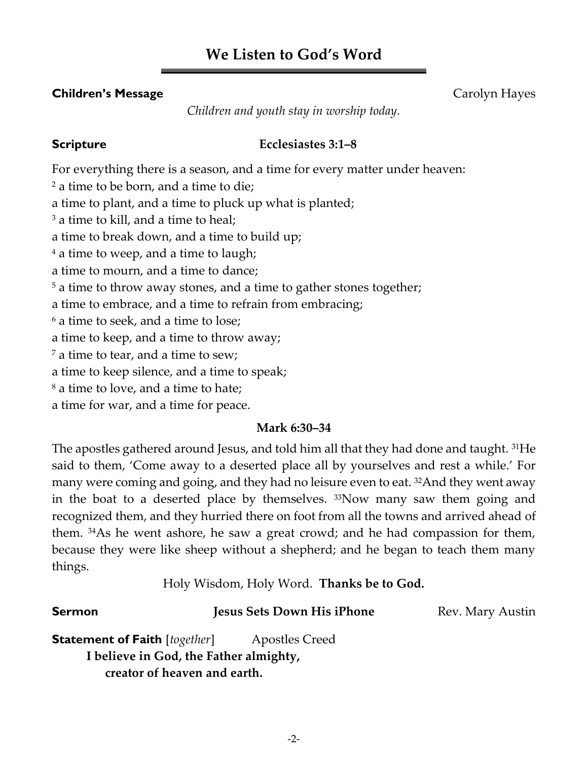# **We Listen to God's Word**

## **Children's Message** Carolyn Hayes

*Children and youth stay in worship today.*

### **Scripture Ecclesiastes 3:1–8**

For everything there is a season, and a time for every matter under heaven: <sup>2</sup> a time to be born, and a time to die; a time to plant, and a time to pluck up what is planted; <sup>3</sup> a time to kill, and a time to heal; a time to break down, and a time to build up; <sup>4</sup> a time to weep, and a time to laugh; a time to mourn, and a time to dance; <sup>5</sup> a time to throw away stones, and a time to gather stones together; a time to embrace, and a time to refrain from embracing; <sup>6</sup> a time to seek, and a time to lose; a time to keep, and a time to throw away;  $<sup>7</sup>$  a time to tear, and a time to sew;</sup> a time to keep silence, and a time to speak; <sup>8</sup> a time to love, and a time to hate; a time for war, and a time for peace.

### **Mark 6:30–34**

The apostles gathered around Jesus, and told him all that they had done and taught. <sup>31</sup>He said to them, 'Come away to a deserted place all by yourselves and rest a while.' For many were coming and going, and they had no leisure even to eat. 32And they went away in the boat to a deserted place by themselves. 33Now many saw them going and recognized them, and they hurried there on foot from all the towns and arrived ahead of them. 34As he went ashore, he saw a great crowd; and he had compassion for them, because they were like sheep without a shepherd; and he began to teach them many things.

Holy Wisdom, Holy Word. **Thanks be to God.**

### **Sermon** *Jesus Sets Down His iPhone* **Rev. Mary Austin**

**Statement of Faith** [*together*] Apostles Creed **I believe in God, the Father almighty, creator of heaven and earth.**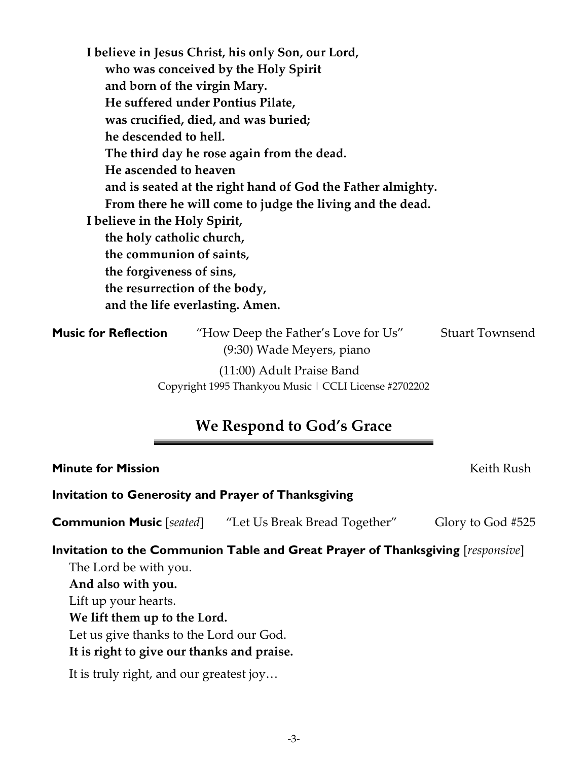**who was conceived by the Holy Spirit and born of the virgin Mary. He suffered under Pontius Pilate, was crucified, died, and was buried; he descended to hell. The third day he rose again from the dead. He ascended to heaven and is seated at the right hand of God the Father almighty. From there he will come to judge the living and the dead. I believe in the Holy Spirit, the holy catholic church, the communion of saints, the forgiveness of sins, the resurrection of the body, and the life everlasting. Amen. Music for Reflection** "How Deep the Father's Love for Us" Stuart Townsend (9:30) Wade Meyers, piano (11:00) Adult Praise Band Copyright 1995 Thankyou Music | CCLI License #2702202

# **We Respond to God's Grace**

### **Minute for Mission** Keith Rush

**Invitation to Generosity and Prayer of Thanksgiving**

**I believe in Jesus Christ, his only Son, our Lord,**

**Communion Music** [*seated*] "Let Us Break Bread Together" Glory to God #525

# **Invitation to the Communion Table and Great Prayer of Thanksgiving** [*responsive*]

The Lord be with you. **And also with you.** Lift up your hearts. **We lift them up to the Lord.** Let us give thanks to the Lord our God. **It is right to give our thanks and praise.** It is truly right, and our greatest joy…

-3-